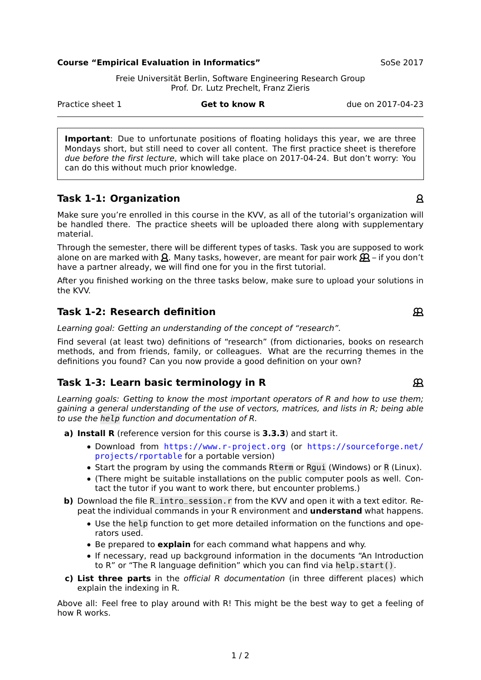#### **Course "Empirical Evaluation in Informatics"** SoSe 2017

Freie Universität Berlin, Software Engineering Research Group Prof. Dr. Lutz Prechelt, Franz Zieris

**Important**: Due to unfortunate positions of floating holidays this year, we are three Mondays short, but still need to cover all content. The first practice sheet is therefore due before the first lecture, which will take place on 2017-04-24. But don't worry: You can do this without much prior knowledge.

# **Task 1-1: Organization**

Make sure you're enrolled in this course in the KVV, as all of the tutorial's organization will be handled there. The practice sheets will be uploaded there along with supplementary material.

Through the semester, there will be different types of tasks. Task you are supposed to work alone on are marked with  $\beta$ . Many tasks, however, are meant for pair work  $\beta$  – if you don't have a partner already, we will find one for you in the first tutorial.

After you finished working on the three tasks below, make sure to upload your solutions in the KVV.

## **Task 1-2: Research definition**

Learning goal: Getting an understanding of the concept of "research".

Find several (at least two) definitions of "research" (from dictionaries, books on research methods, and from friends, family, or colleagues. What are the recurring themes in the definitions you found? Can you now provide a good definition on your own?

# **Task 1-3: Learn basic terminology in R**

Learning goals: Getting to know the most important operators of R and how to use them; gaining a general understanding of the use of vectors, matrices, and lists in R; being able to use the help function and documentation of R.

**a) Install R** (reference version for this course is **3.3.3**) and start it.

- **•** Download from <https://www.r-project.org> (or [https://sourceforge.net/](https://sourceforge.net/projects/rportable) [projects/rportable](https://sourceforge.net/projects/rportable) for a portable version)
- **•** Start the program by using the commands Rterm or Rgui (Windows) or R (Linux).
- **•** (There might be suitable installations on the public computer pools as well. Contact the tutor if you want to work there, but encounter problems.)
- **b)** Download the file R\_intro\_session. r from the KVV and open it with a text editor. Repeat the individual commands in your R environment and **understand** what happens.
	- **•** Use the help function to get more detailed information on the functions and operators used.
	- **•** Be prepared to **explain** for each command what happens and why.
	- **•** If necessary, read up background information in the documents "An Introduction to R" or "The R language definition" which you can find via help.start().
- **c) List three parts** in the official R documentation (in three different places) which explain the indexing in R.

Above all: Feel free to play around with R! This might be the best way to get a feeling of how R works.

### Practice sheet 1 **Get to know R** due on 2017-04-23

 $\mathsf{R}$ 

 $\mathcal{R}$ 

 $\mathfrak{R}$